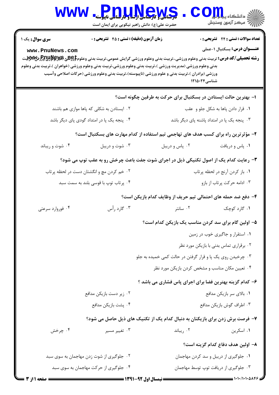| <b>WWW</b>                                                                           | Pnullews<br>حضرت علی(ع): دانش راهبر نیکویی برای ایمان است                                                                                                                                                                                                                                                                                                                                                                                                           |                                                                 | الاد دانشڪاء پي <mark>ا ۾ و</mark> ر (<br>   > مرکز آزمون وسنڊش                     |  |  |
|--------------------------------------------------------------------------------------|---------------------------------------------------------------------------------------------------------------------------------------------------------------------------------------------------------------------------------------------------------------------------------------------------------------------------------------------------------------------------------------------------------------------------------------------------------------------|-----------------------------------------------------------------|-------------------------------------------------------------------------------------|--|--|
| <b>سری سوال:</b> یک ۱<br>www.PnuNews.com                                             | زمان آزمون (دقیقه) : تستی : 45 آتشریحی : 0<br><b>رشته تحصیلی/کد درس:</b> تربیت بدنی وعلوم ورزشی.،تربیت بدنی وعلوم ورزشی گرایش عمومی،تربیت بدنی وعلوم <b>55پیو پر پولازدی توپر پر پولا</b> ل بر پایتر پر پولازدی پر پولازدی پر پولازدی پر پولازدی پر<br>بدنی وعلوم ورزشی (مدیریت ورزشی )،تربیت بدنی وعلوم ورزشی،تربیت بدنی وعلوم ورزشی (خواهران )،تربیت بدنی وعلوم<br>ورزشی (برادران )،تربیت بدنی و علوم ورزشی (ناپیوسته)،تربیت بدنی وعلوم ورزشی (حرکات اصلاحی وآسیب | شناسی۱۲۱۵۰۲۴                                                    | <b>تعداد سوالات : تستی : 24 - تشریحی : 0</b><br><b>عنـــوان درس:</b> بسکتبال ۱-عملی |  |  |
|                                                                                      |                                                                                                                                                                                                                                                                                                                                                                                                                                                                     | ۱– بهترین حالت ایستادن در بسکتبال برای حرکت به طرفین چگونه است؟ |                                                                                     |  |  |
| ۰۲ ایستادن به شکلی که پاها موازی هم باشند                                            |                                                                                                                                                                                                                                                                                                                                                                                                                                                                     |                                                                 | ٠١ قرار دادن پاها به شكل جلو و عقب                                                  |  |  |
|                                                                                      | ۰۴ پنجه یک پا در امتداد گودی پای دیگر باشد                                                                                                                                                                                                                                                                                                                                                                                                                          |                                                                 | ۰۳ پنجه یک پا در امتداد پاشنه پای دیگر باشد                                         |  |  |
|                                                                                      | ۲- مؤثرترین راه برای کسب هدف های تهاجمی تیم استفاده از کدام مهارت های بسکتبال است؟                                                                                                                                                                                                                                                                                                                                                                                  |                                                                 |                                                                                     |  |  |
| ۰۴ شوت و ریباند                                                                      | ۰۳ شوت و دريبل                                                                                                                                                                                                                                                                                                                                                                                                                                                      | ۰۲ پاس و دريبل                                                  | ٠١. پاس و دريافت                                                                    |  |  |
| ۳- رعایت کدام یک از اصول تکنیکی ذیل در اجرای شوت جفت باعث چرخش رو به عقب توپ می شود؟ |                                                                                                                                                                                                                                                                                                                                                                                                                                                                     |                                                                 |                                                                                     |  |  |
|                                                                                      | ٠١. باز كردن أرنج در لحظه پرتاب<br>۰۲ خم کردن مچ و انگشتان دست در لحظه پرتاب                                                                                                                                                                                                                                                                                                                                                                                        |                                                                 |                                                                                     |  |  |
| ۰۴ پرتاب توپ با قوسی بلند به سمت سبد                                                 |                                                                                                                                                                                                                                                                                                                                                                                                                                                                     | ۰۳ ادامه حرکت پرتاب از بازو                                     |                                                                                     |  |  |
| ۴– دفع ضد حمله های احتمالی تیم حریف از وظایف کدام بازیکن است؟                        |                                                                                                                                                                                                                                                                                                                                                                                                                                                                     |                                                                 |                                                                                     |  |  |
| ۰۴ فوروارد سرعتی                                                                     | ۰۳ گارد رأس                                                                                                                                                                                                                                                                                                                                                                                                                                                         | ۰۲ سانتر                                                        | ۰۱ گارد کوچک                                                                        |  |  |
|                                                                                      |                                                                                                                                                                                                                                                                                                                                                                                                                                                                     | ۵– اولین گام برای سد کردن مناسب یک بازیکن کدام است؟             |                                                                                     |  |  |
|                                                                                      |                                                                                                                                                                                                                                                                                                                                                                                                                                                                     |                                                                 | ٠١ استقرار و جاگيري خوب در زمين                                                     |  |  |
|                                                                                      | ۰۲ برقراری تماس بدنی با بازیکن مورد نظر                                                                                                                                                                                                                                                                                                                                                                                                                             |                                                                 |                                                                                     |  |  |
|                                                                                      |                                                                                                                                                                                                                                                                                                                                                                                                                                                                     | ۰۳ چرخیدن روی یک پا و قرار گرفتن در حالت کمی خمیده به جلو       |                                                                                     |  |  |
|                                                                                      | ۰۴ تعیین مکان مناسب و مشخص کردن بازیکن مورد نظر                                                                                                                                                                                                                                                                                                                                                                                                                     |                                                                 |                                                                                     |  |  |
|                                                                                      |                                                                                                                                                                                                                                                                                                                                                                                                                                                                     | ۶- کدام گزینه بهترین فضا برای اجرای پاس فشاری می باشد ؟         |                                                                                     |  |  |
|                                                                                      | ۰۲ زیر دست بازیکن مدافع                                                                                                                                                                                                                                                                                                                                                                                                                                             |                                                                 | ۰۱ بالای سر بازیکن مدافع                                                            |  |  |
|                                                                                      | ۰۴ پشت بازیکن مدافع                                                                                                                                                                                                                                                                                                                                                                                                                                                 |                                                                 | ۰۳ اطراف گوش بازیکن مدافع                                                           |  |  |
|                                                                                      | ۷- فرصت برش زدن برای بازیکنان به دنبال کدام یک از تکنیک های ذیل حاصل می شود؟                                                                                                                                                                                                                                                                                                                                                                                        |                                                                 |                                                                                     |  |  |
| ۰۴ چرخش                                                                              | ۰۳ تغییر مسیر                                                                                                                                                                                                                                                                                                                                                                                                                                                       | ۰۲ ریباند                                                       | ۰۱ اسکرین                                                                           |  |  |
|                                                                                      |                                                                                                                                                                                                                                                                                                                                                                                                                                                                     |                                                                 | ۸– اولین هدف دفاع کدام گزینه است؟                                                   |  |  |
| ۰۲ جلوگیری از شوت زدن مهاجمان به سوی سبد                                             |                                                                                                                                                                                                                                                                                                                                                                                                                                                                     |                                                                 | ۰۱ جلوگیری از دریبل و سد کردن مهاجمان                                               |  |  |
| ۰۴ جلوگیری از حرکت مهاجمان به سوی سبد                                                |                                                                                                                                                                                                                                                                                                                                                                                                                                                                     |                                                                 | ۰۳ جلوگیری از دریافت توپ توسط مهاجمان                                               |  |  |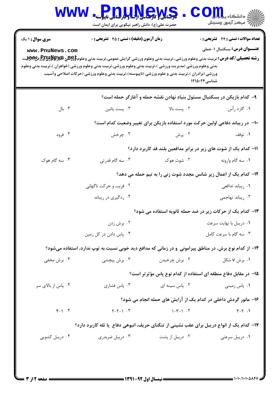| <b>WWW</b>                                                                                  |                                               | ، دانشگاه پی <mark>ا ب</mark> ا ت <mark>و</mark><br>أأأ مركز آزمون وسنجش                                                                                                                                                                                                                                                                                                                                                                                                                                                                                                                                                                                                                                                                                                                                         |  |  |  |
|---------------------------------------------------------------------------------------------|-----------------------------------------------|------------------------------------------------------------------------------------------------------------------------------------------------------------------------------------------------------------------------------------------------------------------------------------------------------------------------------------------------------------------------------------------------------------------------------------------------------------------------------------------------------------------------------------------------------------------------------------------------------------------------------------------------------------------------------------------------------------------------------------------------------------------------------------------------------------------|--|--|--|
|                                                                                             |                                               | <b>تعداد سوالات : تستی : 24 گشریحی : 0</b><br><b>عنـــوان درس:</b> بسکتبال ۱-عملی<br>شناسی۱۲۱۵۰۲۴                                                                                                                                                                                                                                                                                                                                                                                                                                                                                                                                                                                                                                                                                                                |  |  |  |
|                                                                                             |                                               |                                                                                                                                                                                                                                                                                                                                                                                                                                                                                                                                                                                                                                                                                                                                                                                                                  |  |  |  |
| ۰۳ پست پائین                                                                                | ۰۲ پست بالا                                   | ۱. گارد رأس                                                                                                                                                                                                                                                                                                                                                                                                                                                                                                                                                                                                                                                                                                                                                                                                      |  |  |  |
|                                                                                             |                                               |                                                                                                                                                                                                                                                                                                                                                                                                                                                                                                                                                                                                                                                                                                                                                                                                                  |  |  |  |
| ۰۳ چرخش                                                                                     | ۰۲ پرش                                        | ۰۱ توقف                                                                                                                                                                                                                                                                                                                                                                                                                                                                                                                                                                                                                                                                                                                                                                                                          |  |  |  |
| 1۱– کدام یک از شوت های زیر در برابر مدافعین بلند قد کاربرد دارد؟                            |                                               |                                                                                                                                                                                                                                                                                                                                                                                                                                                                                                                                                                                                                                                                                                                                                                                                                  |  |  |  |
| ۰۳ سه گام قدرتی                                                                             | ۰۲ شوت هوک                                    | ۰۱ سه گام وارونه                                                                                                                                                                                                                                                                                                                                                                                                                                                                                                                                                                                                                                                                                                                                                                                                 |  |  |  |
| ۱۲- کدام یک از اعمال زیر شانس مجدد شوت زنی را به تیم حمله می دهد؟                           |                                               |                                                                                                                                                                                                                                                                                                                                                                                                                                                                                                                                                                                                                                                                                                                                                                                                                  |  |  |  |
| ۰۲ فریب و حرکت ناگهانی                                                                      |                                               | ۰۱ ریباند تدافعی                                                                                                                                                                                                                                                                                                                                                                                                                                                                                                                                                                                                                                                                                                                                                                                                 |  |  |  |
| ۰۴ ردگیری در ریباند                                                                         |                                               | ۰۳ ریباند تهاجمی                                                                                                                                                                                                                                                                                                                                                                                                                                                                                                                                                                                                                                                                                                                                                                                                 |  |  |  |
| ۱۳- کدام یک از حرکات زیر در ضد حمله ثانویه استفاده می شود؟                                  |                                               |                                                                                                                                                                                                                                                                                                                                                                                                                                                                                                                                                                                                                                                                                                                                                                                                                  |  |  |  |
| ۰۲ برش زدن                                                                                  |                                               | ٠١ دريبل با نهايت سرعت                                                                                                                                                                                                                                                                                                                                                                                                                                                                                                                                                                                                                                                                                                                                                                                           |  |  |  |
| ۰۴ پاس دادن در کل زمین                                                                      | ۰۳ سه گام با سرعت کامل                        |                                                                                                                                                                                                                                                                                                                                                                                                                                                                                                                                                                                                                                                                                                                                                                                                                  |  |  |  |
|                                                                                             |                                               |                                                                                                                                                                                                                                                                                                                                                                                                                                                                                                                                                                                                                                                                                                                                                                                                                  |  |  |  |
| ۰۳ برش پیچشی                                                                                | ۰۲ برش چرخیدن                                 | ۰۱ برش ۷ شکل                                                                                                                                                                                                                                                                                                                                                                                                                                                                                                                                                                                                                                                                                                                                                                                                     |  |  |  |
| ۱۵– در مقابل دفاع منطقه ای استفاده از کدام نوع پاس مؤثرتر است؟                              |                                               |                                                                                                                                                                                                                                                                                                                                                                                                                                                                                                                                                                                                                                                                                                                                                                                                                  |  |  |  |
| ۰۳ پاس فشاری                                                                                | ۰۲ پاس سینه ای                                | ۰۱ پاس زمینی                                                                                                                                                                                                                                                                                                                                                                                                                                                                                                                                                                                                                                                                                                                                                                                                     |  |  |  |
|                                                                                             |                                               |                                                                                                                                                                                                                                                                                                                                                                                                                                                                                                                                                                                                                                                                                                                                                                                                                  |  |  |  |
| $Y-Y-1$ $Y$                                                                                 | $\uparrow - \uparrow - \uparrow$ . $\uparrow$ | $Y - Y$ .                                                                                                                                                                                                                                                                                                                                                                                                                                                                                                                                                                                                                                                                                                                                                                                                        |  |  |  |
| ۱۷– کدام یک از انواع دریبل برای عقب نشینی از تنگنای حریف، انبوهی دفاع ً یا تله کاربرد دارد؟ |                                               |                                                                                                                                                                                                                                                                                                                                                                                                                                                                                                                                                                                                                                                                                                                                                                                                                  |  |  |  |
| ۰۳ دریبل ضربدری                                                                             | ۰۲ دریبل از پشت                               | ۰۱ دریبل سرعتی                                                                                                                                                                                                                                                                                                                                                                                                                                                                                                                                                                                                                                                                                                                                                                                                   |  |  |  |
|                                                                                             |                                               |                                                                                                                                                                                                                                                                                                                                                                                                                                                                                                                                                                                                                                                                                                                                                                                                                  |  |  |  |
|                                                                                             |                                               |                                                                                                                                                                                                                                                                                                                                                                                                                                                                                                                                                                                                                                                                                                                                                                                                                  |  |  |  |
|                                                                                             |                                               | Pnullews<br>حضرت علی(ع): دانش راهبر نیکویی برای ایمان است<br><b>زمان آزمون (دقیقه) : تستی : 45 تشریحی : 0</b><br><b>رشته تحصیلی/کد درس:</b> تربیت بدنی وعلوم ورزشی.،تربیت بدنی وعلوم ورزشی گرایش عمومی،تربیت بدنی وعلوم95 <del>Eپر PRپرEپرCزشW</del> پر<br>بدنی وعلوم ورزشی (مدیریت ورزشی )،تربیت بدنی وعلوم ورزشی،تربیت بدنی وعلوم ورزشی (خواهران )،تربیت بدنی وعلوم<br>ورزشی (برادران )،تربیت بدنی و علوم ورزشی (ناپیوسته)،تربیت بدنی وعلوم ورزشی (حرکات اصلاحی وآسیب<br>۹– کدام بازیکن در بسکتبال مسئول بنیاد نهادن نقشه حمله و آغازگر حمله است؟<br>∙ا− در ریباند دفاعی اولین حرکت مورد استفاده بازیکن برای تغییر وضعیت کدام است؟<br>۱۴– از کدام نوع برش، در مناطق پیرامونی و در زمانی که مدافع دید خوبی نسبت به توپ ندارد، استفاده میشود؟<br>۱۶- مانور گردش داخلی در کدام یک از آرایش های حمله انجام می شود؟ |  |  |  |

 $= 1.1.111.0005$